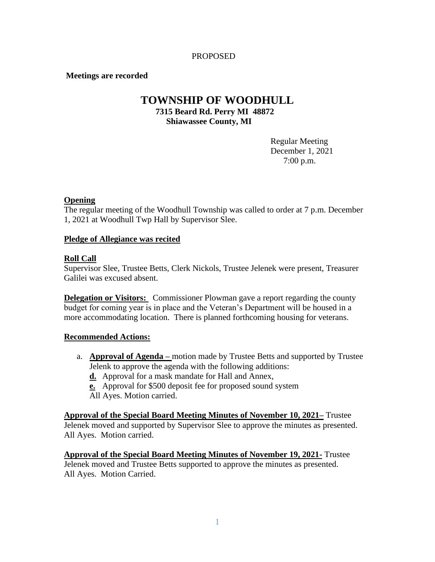## PROPOSED

## **Meetings are recorded**

# **TOWNSHIP OF WOODHULL 7315 Beard Rd. Perry MI 48872 Shiawassee County, MI**

Regular Meeting December 1, 2021 7:00 p.m.

## **Opening**

The regular meeting of the Woodhull Township was called to order at 7 p.m. December 1, 2021 at Woodhull Twp Hall by Supervisor Slee.

#### **Pledge of Allegiance was recited**

## **Roll Call**

Supervisor Slee, Trustee Betts, Clerk Nickols, Trustee Jelenek were present, Treasurer Galilei was excused absent.

**Delegation or Visitors:** Commissioner Plowman gave a report regarding the county budget for coming year is in place and the Veteran's Department will be housed in a more accommodating location. There is planned forthcoming housing for veterans.

#### **Recommended Actions:**

- a. **Approval of Agenda –** motion made by Trustee Betts and supported by Trustee Jelenk to approve the agenda with the following additions:
	- **d.** Approval for a mask mandate for Hall and Annex,

**e.** Approval for \$500 deposit fee for proposed sound system

All Ayes. Motion carried.

**Approval of the Special Board Meeting Minutes of November 10, 2021–** Trustee Jelenek moved and supported by Supervisor Slee to approve the minutes as presented. All Ayes. Motion carried.

**Approval of the Special Board Meeting Minutes of November 19, 2021-** Trustee Jelenek moved and Trustee Betts supported to approve the minutes as presented. All Ayes. Motion Carried.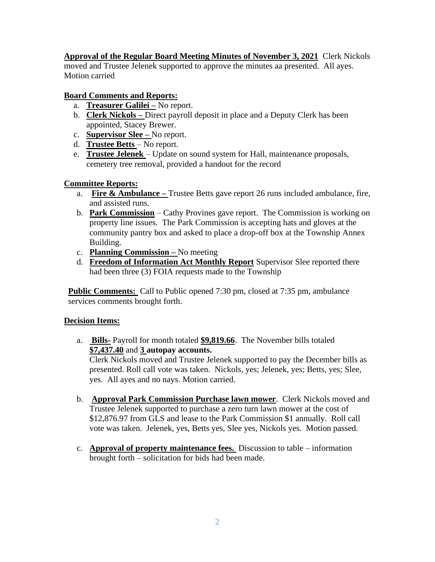**Approval of the Regular Board Meeting Minutes of November 3, 2021** Clerk Nickols moved and Trustee Jelenek supported to approve the minutes aa presented. All ayes. Motion carried

# **Board Comments and Reports:**

- a. **Treasurer Galilei –** No report.
- b. **Clerk Nickols –** Direct payroll deposit in place and a Deputy Clerk has been appointed, Stacey Brewer.
- c. **Supervisor Slee –** No report.
- d. **Trustee Betts**  No report.
- e. **Trustee Jelenek**  Update on sound system for Hall, maintenance proposals, cemetery tree removal, provided a handout for the record

# **Committee Reports:**

- a. **Fire & Ambulance –** Trustee Betts gave report 26 runs included ambulance, fire, and assisted runs.
- b. **Park Commission** Cathy Provines gave report. The Commission is working on property line issues. The Park Commission is accepting hats and gloves at the community pantry box and asked to place a drop-off box at the Township Annex Building.
- c. **Planning Commission –** No meeting
- d. **Freedom of Information Act Monthly Report** Supervisor Slee reported there had been three (3) FOIA requests made to the Township

**Public Comments:** Call to Public opened 7:30 pm, closed at 7:35 pm, ambulance services comments brought forth.

# **Decision Items:**

a. **Bills-** Payroll for month totaled **\$9,819.66**. The November bills totaled **\$7,437.40** and **3 autopay accounts.** 

Clerk Nickols moved and Trustee Jelenek supported to pay the December bills as presented. Roll call vote was taken. Nickols, yes; Jelenek, yes; Betts, yes; Slee, yes. All ayes and no nays. Motion carried.

- b. **Approval Park Commission Purchase lawn mower**. Clerk Nickols moved and Trustee Jelenek supported to purchase a zero turn lawn mower at the cost of \$12,876.97 from GLS and lease to the Park Commission \$1 annually. Roll call vote was taken. Jelenek, yes, Betts yes, Slee yes, Nickols yes. Motion passed.
- c. **Approval of property maintenance fees.** Discussion to table information brought forth – solicitation for bids had been made.